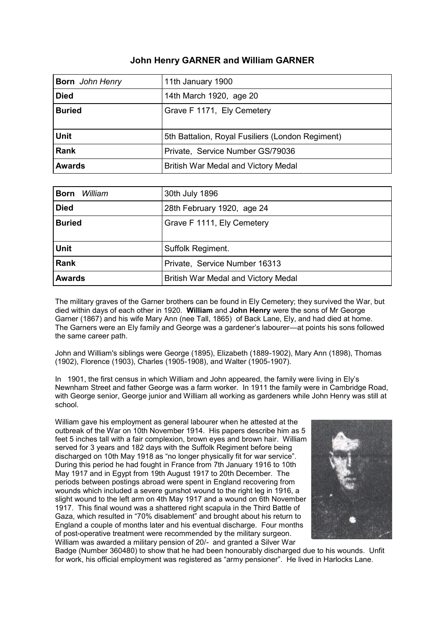## **John Henry GARNER and William GARNER**

| <b>Born</b> John Henry | 11th January 1900                                |
|------------------------|--------------------------------------------------|
| <b>Died</b>            | 14th March 1920, age 20                          |
| <b>Buried</b>          | Grave F 1171, Ely Cemetery                       |
|                        |                                                  |
| <b>Unit</b>            | 5th Battalion, Royal Fusiliers (London Regiment) |
| <b>Rank</b>            | Private, Service Number GS/79036                 |
| <b>Awards</b>          | British War Medal and Victory Medal              |

| William<br><b>Born</b> | 30th July 1896                      |
|------------------------|-------------------------------------|
| <b>Died</b>            | 28th February 1920, age 24          |
| <b>Buried</b>          | Grave F 1111, Ely Cemetery          |
|                        |                                     |
| <b>Unit</b>            | Suffolk Regiment.                   |
| <b>Rank</b>            | Private, Service Number 16313       |
| <b>Awards</b>          | British War Medal and Victory Medal |

The military graves of the Garner brothers can be found in Ely Cemetery; they survived the War, but died within days of each other in 1920. **William** and **John Henry** were the sons of Mr George Garner (1867) and his wife Mary Ann (nee Tall, 1865) of Back Lane, Ely, and had died at home. The Garners were an Ely family and George was a gardener's labourer—at points his sons followed the same career path.

John and William's siblings were George (1895), Elizabeth (1889-1902), Mary Ann (1898), Thomas (1902), Florence (1903), Charles (1905-1908), and Walter (1905-1907).

In 1901, the first census in which William and John appeared, the family were living in Ely's Newnham Street and father George was a farm worker. In 1911 the family were in Cambridge Road, with George senior, George junior and William all working as gardeners while John Henry was still at school.

William gave his employment as general labourer when he attested at the outbreak of the War on 10th November 1914. His papers describe him as 5 feet 5 inches tall with a fair complexion, brown eyes and brown hair. William served for 3 years and 182 days with the Suffolk Regiment before being discharged on 10th May 1918 as "no longer physically fit for war service". During this period he had fought in France from 7th January 1916 to 10th May 1917 and in Egypt from 19th August 1917 to 20th December. The periods between postings abroad were spent in England recovering from wounds which included a severe gunshot wound to the right leg in 1916, a slight wound to the left arm on 4th May 1917 and a wound on 6th November 1917. This final wound was a shattered right scapula in the Third Battle of Gaza, which resulted in "70% disablement" and brought about his return to England a couple of months later and his eventual discharge. Four months of post-operative treatment were recommended by the military surgeon. William was awarded a military pension of 20/- and granted a Silver War



Badge (Number 360480) to show that he had been honourably discharged due to his wounds. Unfit for work, his official employment was registered as "army pensioner". He lived in Harlocks Lane.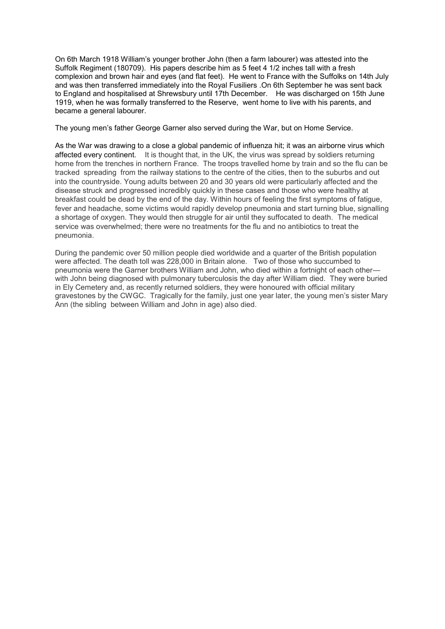On 6th March 1918 William's younger brother John (then a farm labourer) was attested into the Suffolk Regiment (180709). His papers describe him as 5 feet 4 1/2 inches tall with a fresh complexion and brown hair and eyes (and flat feet). He went to France with the Suffolks on 14th July and was then transferred immediately into the Royal Fusiliers .On 6th September he was sent back to England and hospitalised at Shrewsbury until 17th December. He was discharged on 15th June 1919, when he was formally transferred to the Reserve, went home to live with his parents, and became a general labourer.

The young men's father George Garner also served during the War, but on Home Service.

As the War was drawing to a close a global pandemic of influenza hit; it was an airborne virus which affected every continent. It is thought that, in the UK, the virus was spread by soldiers returning home from the trenches in northern France. The troops travelled home by train and so the flu can be tracked spreading from the railway stations to the centre of the cities, then to the suburbs and out into the countryside. Young adults between 20 and 30 years old were particularly affected and the disease struck and progressed incredibly quickly in these cases and those who were healthy at breakfast could be dead by the end of the day. Within hours of feeling the first symptoms of fatigue, fever and headache, some victims would rapidly develop pneumonia and start turning blue, signalling a shortage of oxygen. They would then struggle for air until they suffocated to death. The medical service was overwhelmed; there were no treatments for the flu and no antibiotics to treat the pneumonia.

During the pandemic over 50 million people died worldwide and a quarter of the British population were affected. The death toll was 228,000 in Britain alone. Two of those who succumbed to pneumonia were the Garner brothers William and John, who died within a fortnight of each other with John being diagnosed with pulmonary tuberculosis the day after William died. They were buried in Ely Cemetery and, as recently returned soldiers, they were honoured with official military gravestones by the CWGC. Tragically for the family, just one year later, the young men's sister Mary Ann (the sibling between William and John in age) also died.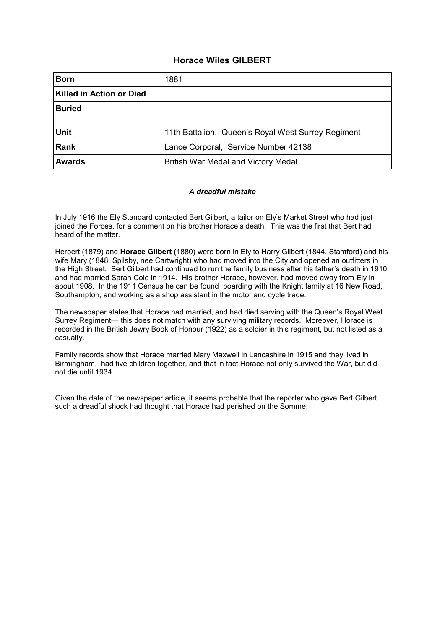## **Horace Wiles GILBERT**

| <b>Born</b>                     | 1881                                               |
|---------------------------------|----------------------------------------------------|
| <b>Killed in Action or Died</b> |                                                    |
| <b>Buried</b>                   |                                                    |
|                                 |                                                    |
| <b>Unit</b>                     | 11th Battalion, Queen's Royal West Surrey Regiment |
| Rank                            | Lance Corporal, Service Number 42138               |
| <b>Awards</b>                   | British War Medal and Victory Medal                |

#### *A dreadful mistake*

In July 1916 the Ely Standard contacted Bert Gilbert, a tailor on Ely's Market Street who had just joined the Forces, for a comment on his brother Horace's death. This was the first that Bert had heard of the matter.

Herbert (1879) and **Horace Gilbert (**1880) were born in Ely to Harry Gilbert (1844, Stamford) and his wife Mary (1848, Spilsby, nee Cartwright) who had moved into the City and opened an outfitters in the High Street. Bert Gilbert had continued to run the family business after his father's death in 1910 and had married Sarah Cole in 1914. His brother Horace, however, had moved away from Ely in about 1908. In the 1911 Census he can be found boarding with the Knight family at 16 New Road, Southampton, and working as a shop assistant in the motor and cycle trade.

The newspaper states that Horace had married, and had died serving with the Queen's Royal West Surrey Regiment— this does not match with any surviving military records. Moreover, Horace is recorded in the British Jewry Book of Honour (1922) as a soldier in this regiment, but not listed as a casualty.

Family records show that Horace married Mary Maxwell in Lancashire in 1915 and they lived in Birmingham, had five children together, and that in fact Horace not only survived the War, but did not die until 1934.

Given the date of the newspaper article, it seems probable that the reporter who gave Bert Gilbert such a dreadful shock had thought that Horace had perished on the Somme.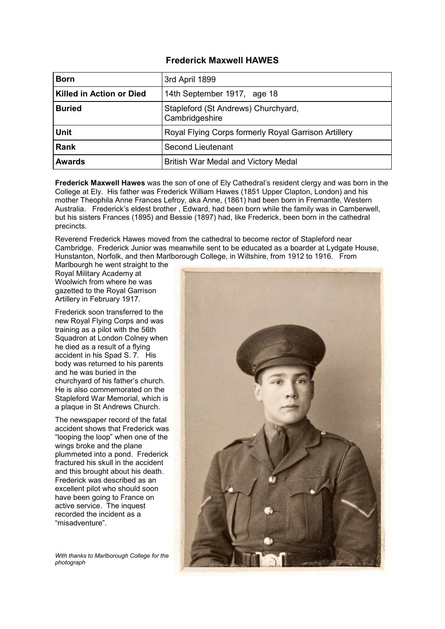#### **Frederick Maxwell HAWES**

| <b>Born</b>              | 3rd April 1899                                        |
|--------------------------|-------------------------------------------------------|
| Killed in Action or Died | 14th September 1917, age 18                           |
| <b>Buried</b>            | Stapleford (St Andrews) Churchyard,<br>Cambridgeshire |
| <b>Unit</b>              | Royal Flying Corps formerly Royal Garrison Artillery  |
| <b>Rank</b>              | <b>Second Lieutenant</b>                              |
| <b>Awards</b>            | British War Medal and Victory Medal                   |

**Frederick Maxwell Hawes** was the son of one of Ely Cathedral's resident clergy and was born in the College at Ely. His father was Frederick William Hawes (1851 Upper Clapton, London) and his mother Theophila Anne Frances Lefroy, aka Anne, (1861) had been born in Fremantle, Western Australia. Frederick's eldest brother , Edward, had been born while the family was in Camberwell, but his sisters Frances (1895) and Bessie (1897) had, like Frederick, been born in the cathedral precincts.

Reverend Frederick Hawes moved from the cathedral to become rector of Stapleford near Cambridge. Frederick Junior was meanwhile sent to be educated as a boarder at Lydgate House, Hunstanton, Norfolk, and then Marlborough College, in Wiltshire, from 1912 to 1916. From

Marlbourgh he went straight to the Royal Military Academy at Woolwich from where he was gazetted to the Royal Garrison Artillery in February 1917.

Frederick soon transferred to the new Royal Flying Corps and was training as a pilot with the 56th Squadron at London Colney when he died as a result of a flying accident in his Spad S. 7. His body was returned to his parents and he was buried in the churchyard of his father's church. He is also commemorated on the Stapleford War Memorial, which is a plaque in St Andrews Church.

The newspaper record of the fatal accident shows that Frederick was "looping the loop" when one of the wings broke and the plane plummeted into a pond. Frederick fractured his skull in the accident and this brought about his death. Frederick was described as an excellent pilot who should soon have been going to France on active service. The inquest recorded the incident as a "misadventure".

*With thanks to Marlborough College for the photograph*

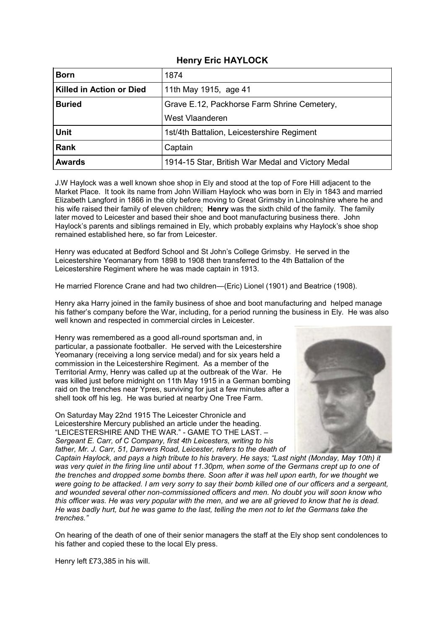## **Henry Eric HAYLOCK**

| <b>Born</b>                     | 1874                                              |
|---------------------------------|---------------------------------------------------|
| <b>Killed in Action or Died</b> | 11th May 1915, age 41                             |
| <b>Buried</b>                   | Grave E.12, Packhorse Farm Shrine Cemetery,       |
|                                 | West Vlaanderen                                   |
| <b>Unit</b>                     | 1st/4th Battalion, Leicestershire Regiment        |
| <b>Rank</b>                     | Captain                                           |
| <b>Awards</b>                   | 1914-15 Star, British War Medal and Victory Medal |

J.W Haylock was a well known shoe shop in Ely and stood at the top of Fore Hill adjacent to the Market Place. It took its name from John William Haylock who was born in Ely in 1843 and married Elizabeth Langford in 1866 in the city before moving to Great Grimsby in Lincolnshire where he and his wife raised their family of eleven children; **Henry** was the sixth child of the family. The family later moved to Leicester and based their shoe and boot manufacturing business there. John Haylock's parents and siblings remained in Ely, which probably explains why Haylock's shoe shop remained established here, so far from Leicester.

Henry was educated at Bedford School and St John's College Grimsby. He served in the Leicestershire Yeomanary from 1898 to 1908 then transferred to the 4th Battalion of the Leicestershire Regiment where he was made captain in 1913.

He married Florence Crane and had two children—(Eric) Lionel (1901) and Beatrice (1908).

Henry aka Harry joined in the family business of shoe and boot manufacturing and helped manage his father's company before the War, including, for a period running the business in Ely. He was also well known and respected in commercial circles in Leicester.

Henry was remembered as a good all-round sportsman and, in particular, a passionate footballer. He served with the Leicestershire Yeomanary (receiving a long service medal) and for six years held a commission in the Leicestershire Regiment. As a member of the Territorial Army, Henry was called up at the outbreak of the War. He was killed just before midnight on 11th May 1915 in a German bombing raid on the trenches near Ypres, surviving for just a few minutes after a shell took off his leg. He was buried at nearby One Tree Farm.

On Saturday May 22nd 1915 The Leicester Chronicle and Leicestershire Mercury published an article under the heading. "LEICESTERSHIRE AND THE WAR." - GAME TO THE LAST. – *Sergeant E. Carr, of C Company, first 4th Leicesters, writing to his father, Mr. J. Carr, 51, Danvers Road, Leicester, refers to the death of* 



*Captain Haylock, and pays a high tribute to his bravery. He says; "Last night (Monday, May 10th) it was very quiet in the firing line until about 11.30pm, when some of the Germans crept up to one of the trenches and dropped some bombs there. Soon after it was hell upon earth, for we thought we were going to be attacked. I am very sorry to say their bomb killed one of our officers and a sergeant, and wounded several other non-commissioned officers and men. No doubt you will soon know who this officer was. He was very popular with the men, and we are all grieved to know that he is dead. He was badly hurt, but he was game to the last, telling the men not to let the Germans take the trenches."* 

On hearing of the death of one of their senior managers the staff at the Ely shop sent condolences to his father and copied these to the local Ely press.

Henry left £73,385 in his will.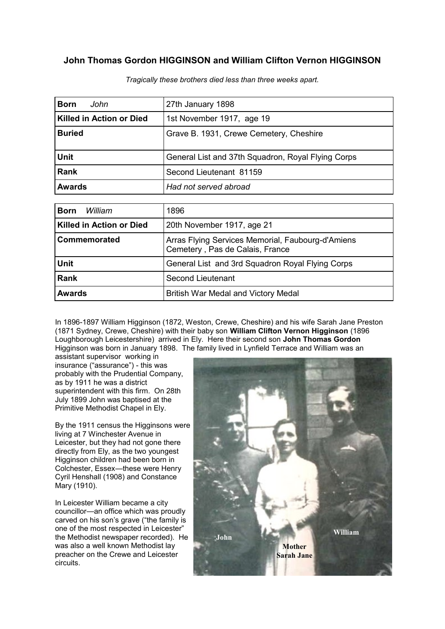# **John Thomas Gordon HIGGINSON and William Clifton Vernon HIGGINSON**

| <b>Born</b><br>John             | 27th January 1898                                                                    |
|---------------------------------|--------------------------------------------------------------------------------------|
| <b>Killed in Action or Died</b> | 1st November 1917, age 19                                                            |
| <b>Buried</b>                   | Grave B. 1931, Crewe Cemetery, Cheshire                                              |
| <b>Unit</b>                     | General List and 37th Squadron, Royal Flying Corps                                   |
| <b>Rank</b>                     | Second Lieutenant 81159                                                              |
| <b>Awards</b>                   | Had not served abroad                                                                |
|                                 |                                                                                      |
| <b>Born</b><br>William          | 1896                                                                                 |
| <b>Killed in Action or Died</b> | 20th November 1917, age 21                                                           |
| Commemorated                    | Arras Flying Services Memorial, Faubourg-d'Amiens<br>Cemetery, Pas de Calais, France |
| <b>Unit</b>                     | General List and 3rd Squadron Royal Flying Corps                                     |
| <b>Rank</b>                     | <b>Second Lieutenant</b>                                                             |
| <b>Awards</b>                   | British War Medal and Victory Medal                                                  |

*Tragically these brothers died less than three weeks apart.*

In 1896-1897 William Higginson (1872, Weston, Crewe, Cheshire) and his wife Sarah Jane Preston (1871 Sydney, Crewe, Cheshire) with their baby son **William Clifton Vernon Higginson** (1896 Loughborough Leicestershire) arrived in Ely. Here their second son **John Thomas Gordon**  Higginson was born in January 1898. The family lived in Lynfield Terrace and William was an

assistant supervisor working in insurance ("assurance") - this was probably with the Prudential Company, as by 1911 he was a district superintendent with this firm. On 28th July 1899 John was baptised at the Primitive Methodist Chapel in Ely.

By the 1911 census the Higginsons were living at 7 Winchester Avenue in Leicester, but they had not gone there directly from Ely, as the two youngest Higginson children had been born in Colchester, Essex—these were Henry Cyril Henshall (1908) and Constance Mary (1910).

In Leicester William became a city councillor—an office which was proudly carved on his son's grave ("the family is one of the most respected in Leicester" the Methodist newspaper recorded). He was also a well known Methodist lay preacher on the Crewe and Leicester circuits.

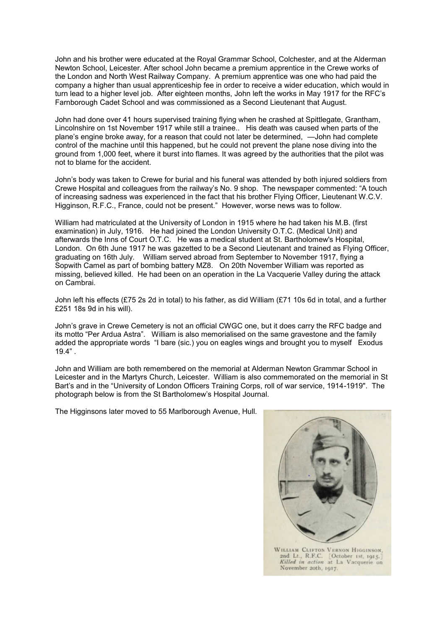John and his brother were educated at the Royal Grammar School, Colchester, and at the Alderman Newton School, Leicester. After school John became a premium apprentice in the Crewe works of the London and North West Railway Company. A premium apprentice was one who had paid the company a higher than usual apprenticeship fee in order to receive a wider education, which would in turn lead to a higher level job. After eighteen months, John left the works in May 1917 for the RFC's Farnborough Cadet School and was commissioned as a Second Lieutenant that August.

John had done over 41 hours supervised training flying when he crashed at Spittlegate, Grantham, Lincolnshire on 1st November 1917 while still a trainee.. His death was caused when parts of the plane's engine broke away, for a reason that could not later be determined, —John had complete control of the machine until this happened, but he could not prevent the plane nose diving into the ground from 1,000 feet, where it burst into flames. It was agreed by the authorities that the pilot was not to blame for the accident.

John's body was taken to Crewe for burial and his funeral was attended by both injured soldiers from Crewe Hospital and colleagues from the railway's No. 9 shop. The newspaper commented: "A touch of increasing sadness was experienced in the fact that his brother Flying Officer, Lieutenant W.C.V. Higginson, R.F.C., France, could not be present." However, worse news was to follow.

William had matriculated at the University of London in 1915 where he had taken his M.B. (first examination) in July, 1916. He had joined the London University O.T.C. (Medical Unit) and afterwards the Inns of Court O.T.C. He was a medical student at St. Bartholomew's Hospital, London. On 6th June 1917 he was gazetted to be a Second Lieutenant and trained as Flying Officer, graduating on 16th July. William served abroad from September to November 1917, flying a Sopwith Camel as part of bombing battery MZ8. On 20th November William was reported as missing, believed killed. He had been on an operation in the La Vacquerie Valley during the attack on Cambrai.

John left his effects (£75 2s 2d in total) to his father, as did William (£71 10s 6d in total, and a further £251 18s 9d in his will).

John's grave in Crewe Cemetery is not an official CWGC one, but it does carry the RFC badge and its motto "Per Ardua Astra". William is also memorialised on the same gravestone and the family added the appropriate words "I bare (sic.) you on eagles wings and brought you to myself Exodus 19.4" .

John and William are both remembered on the memorial at Alderman Newton Grammar School in Leicester and in the Martyrs Church, Leicester. William is also commemorated on the memorial in St Bart's and in the "University of London Officers Training Corps, roll of war service, 1914-1919". The photograph below is from the St Bartholomew's Hospital Journal.

The Higginsons later moved to 55 Marlborough Avenue, Hull.

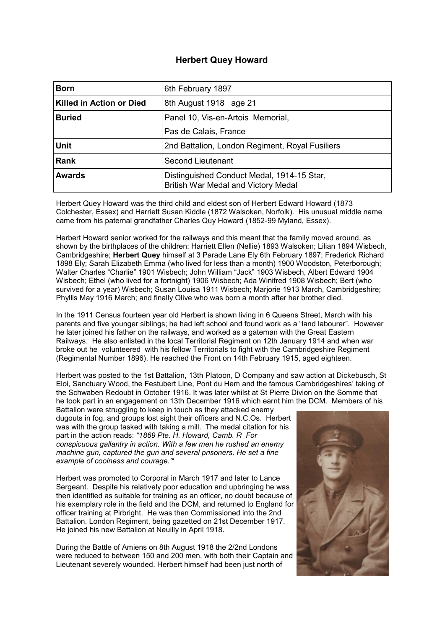## **Herbert Quey Howard**

| <b>Born</b>              | 6th February 1897                                                                        |
|--------------------------|------------------------------------------------------------------------------------------|
| Killed in Action or Died | 8th August 1918 age 21                                                                   |
| <b>Buried</b>            | Panel 10, Vis-en-Artois Memorial,                                                        |
|                          | Pas de Calais, France                                                                    |
| <b>Unit</b>              | 2nd Battalion, London Regiment, Royal Fusiliers                                          |
| <b>Rank</b>              | Second Lieutenant                                                                        |
| <b>Awards</b>            | Distinguished Conduct Medal, 1914-15 Star,<br><b>British War Medal and Victory Medal</b> |

Herbert Quey Howard was the third child and eldest son of Herbert Edward Howard (1873 Colchester, Essex) and Harriett Susan Kiddle (1872 Walsoken, Norfolk). His unusual middle name came from his paternal grandfather Charles Quy Howard (1852-99 Myland, Essex).

Herbert Howard senior worked for the railways and this meant that the family moved around, as shown by the birthplaces of the children: Harriett Ellen (Nellie) 1893 Walsoken; Lilian 1894 Wisbech, Cambridgeshire; **Herbert Quey** himself at 3 Parade Lane Ely 6th February 1897; Frederick Richard 1898 Ely; Sarah Elizabeth Emma (who lived for less than a month) 1900 Woodston, Peterborough; Walter Charles "Charlie" 1901 Wisbech; John William "Jack" 1903 Wisbech, Albert Edward 1904 Wisbech; Ethel (who lived for a fortnight) 1906 Wisbech; Ada Winifred 1908 Wisbech; Bert (who survived for a year) Wisbech; Susan Louisa 1911 Wisbech; Marjorie 1913 March, Cambridgeshire; Phyllis May 1916 March; and finally Olive who was born a month after her brother died.

In the 1911 Census fourteen year old Herbert is shown living in 6 Queens Street, March with his parents and five younger siblings; he had left school and found work as a "land labourer". However he later joined his father on the railways, and worked as a gateman with the Great Eastern Railways. He also enlisted in the local Territorial Regiment on 12th January 1914 and when war broke out he volunteered with his fellow Territorials to fight with the Cambridgeshire Regiment (Regimental Number 1896). He reached the Front on 14th February 1915, aged eighteen.

Herbert was posted to the 1st Battalion, 13th Platoon, D Company and saw action at Dickebusch, St Eloi, Sanctuary Wood, the Festubert Line, Pont du Hem and the famous Cambridgeshires' taking of the Schwaben Redoubt in October 1916. It was later whilst at St Pierre Divion on the Somme that he took part in an engagement on 13th December 1916 which earnt him the DCM. Members of his

Battalion were struggling to keep in touch as they attacked enemy dugouts in fog, and groups lost sight their officers and N.C.Os. Herbert was with the group tasked with taking a mill. The medal citation for his part in the action reads: *"1869 Pte. H. Howard, Camb. R For conspicuous gallantry in action. With a few men he rushed an enemy machine gun, captured the gun and several prisoners. He set a fine example of coolness and courage.'"*

Herbert was promoted to Corporal in March 1917 and later to Lance Sergeant. Despite his relatively poor education and upbringing he was then identified as suitable for training as an officer, no doubt because of his exemplary role in the field and the DCM, and returned to England for officer training at Pirbright. He was then Commissioned into the 2nd Battalion. London Regiment, being gazetted on 21st December 1917. He joined his new Battalion at Neuilly in April 1918.

During the Battle of Amiens on 8th August 1918 the 2/2nd Londons were reduced to between 150 and 200 men, with both their Captain and Lieutenant severely wounded. Herbert himself had been just north of

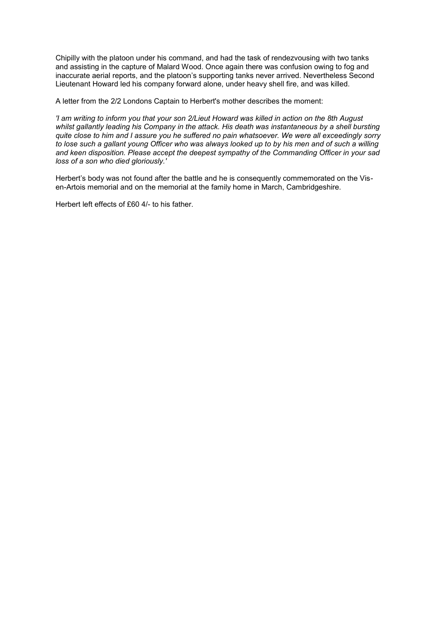Chipilly with the platoon under his command, and had the task of rendezvousing with two tanks and assisting in the capture of Malard Wood. Once again there was confusion owing to fog and inaccurate aerial reports, and the platoon's supporting tanks never arrived. Nevertheless Second Lieutenant Howard led his company forward alone, under heavy shell fire, and was killed.

A letter from the 2/2 Londons Captain to Herbert's mother describes the moment:

*'I am writing to inform you that your son 2/Lieut Howard was killed in action on the 8th August whilst gallantly leading his Company in the attack. His death was instantaneous by a shell bursting quite close to him and I assure you he suffered no pain whatsoever. We were all exceedingly sorry to lose such a gallant young Officer who was always looked up to by his men and of such a willing and keen disposition. Please accept the deepest sympathy of the Commanding Officer in your sad loss of a son who died gloriously.'*

Herbert's body was not found after the battle and he is consequently commemorated on the Visen-Artois memorial and on the memorial at the family home in March, Cambridgeshire.

Herbert left effects of £60 4/- to his father.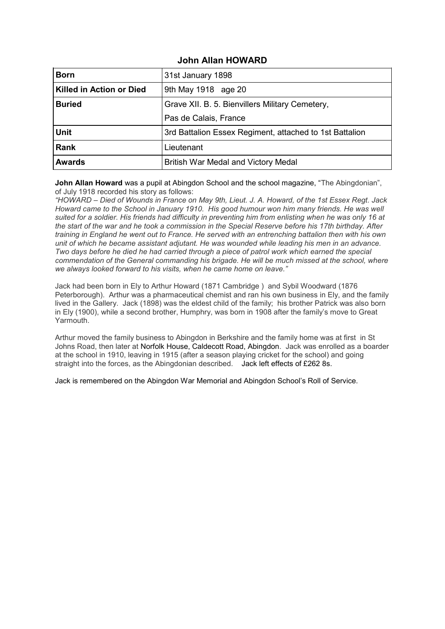## **John Allan HOWARD**

| <b>Born</b>              | 31st January 1898                                       |
|--------------------------|---------------------------------------------------------|
| Killed in Action or Died | 9th May 1918 age 20                                     |
| <b>Buried</b>            | Grave XII. B. 5. Bienvillers Military Cemetery,         |
|                          | Pas de Calais, France                                   |
| <b>Unit</b>              | 3rd Battalion Essex Regiment, attached to 1st Battalion |
| <b>Rank</b>              | Lieutenant                                              |
| <b>Awards</b>            | British War Medal and Victory Medal                     |

**John Allan Howard** was a pupil at Abingdon School and the school magazine, "The Abingdonian", of July 1918 recorded his story as follows:

*"HOWARD – Died of Wounds in France on May 9th, Lieut. J. A. Howard, of the 1st Essex Regt. Jack Howard came to the School in January 1910. His good humour won him many friends. He was well suited for a soldier. His friends had difficulty in preventing him from enlisting when he was only 16 at the start of the war and he took a commission in the Special Reserve before his 17th birthday. After training in England he went out to France. He served with an entrenching battalion then with his own unit of which he became assistant adjutant. He was wounded while leading his men in an advance. Two days before he died he had carried through a piece of patrol work which earned the special commendation of the General commanding his brigade. He will be much missed at the school, where we always looked forward to his visits, when he came home on leave."*

Jack had been born in Ely to Arthur Howard (1871 Cambridge ) and Sybil Woodward (1876 Peterborough). Arthur was a pharmaceutical chemist and ran his own business in Ely, and the family lived in the Gallery. Jack (1898) was the eldest child of the family; his brother Patrick was also born in Ely (1900), while a second brother, Humphry, was born in 1908 after the family's move to Great Yarmouth.

Arthur moved the family business to Abingdon in Berkshire and the family home was at first in St Johns Road, then later at Norfolk House, Caldecott Road, Abingdon. Jack was enrolled as a boarder at the school in 1910, leaving in 1915 (after a season playing cricket for the school) and going straight into the forces, as the Abingdonian described. Jack left effects of £262 8s.

Jack is remembered on the Abingdon War Memorial and Abingdon School's Roll of Service.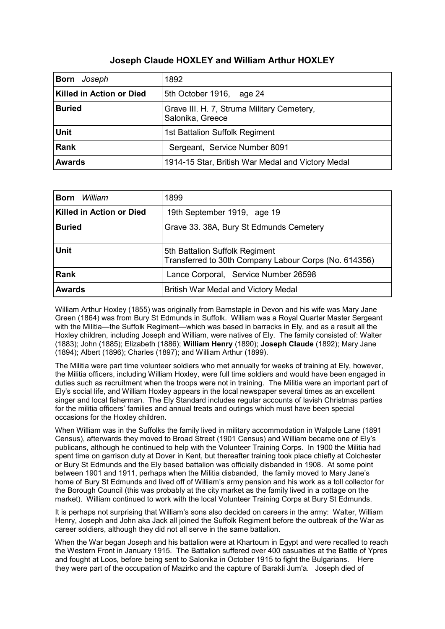# **Joseph Claude HOXLEY and William Arthur HOXLEY**

| Joseph<br><b>Born</b>           | 1892                                                           |
|---------------------------------|----------------------------------------------------------------|
| <b>Killed in Action or Died</b> | 5th October 1916, age 24                                       |
| <b>Buried</b>                   | Grave III. H. 7, Struma Military Cemetery,<br>Salonika, Greece |
| <b>Unit</b>                     | 1st Battalion Suffolk Regiment                                 |
| <b>Rank</b>                     | Sergeant, Service Number 8091                                  |
| <b>Awards</b>                   | 1914-15 Star, British War Medal and Victory Medal              |

| William<br><b>Born</b>   | 1899                                                                                    |
|--------------------------|-----------------------------------------------------------------------------------------|
| Killed in Action or Died | 19th September 1919, age 19                                                             |
| <b>Buried</b>            | Grave 33. 38A, Bury St Edmunds Cemetery                                                 |
| <b>Unit</b>              | 5th Battalion Suffolk Regiment<br>Transferred to 30th Company Labour Corps (No. 614356) |
| <b>Rank</b>              | Lance Corporal, Service Number 26598                                                    |
| <b>Awards</b>            | British War Medal and Victory Medal                                                     |

William Arthur Hoxley (1855) was originally from Barnstaple in Devon and his wife was Mary Jane Green (1864) was from Bury St Edmunds in Suffolk. William was a Royal Quarter Master Sergeant with the Militia—the Suffolk Regiment—which was based in barracks in Ely, and as a result all the Hoxley children, including Joseph and William, were natives of Ely. The family consisted of: Walter (1883); John (1885); Elizabeth (1886); **William Henry** (1890); **Joseph Claude** (1892); Mary Jane (1894); Albert (1896); Charles (1897); and William Arthur (1899).

The Militia were part time volunteer soldiers who met annually for weeks of training at Ely, however, the Militia officers, including William Hoxley, were full time soldiers and would have been engaged in duties such as recruitment when the troops were not in training. The Militia were an important part of Ely's social life, and William Hoxley appears in the local newspaper several times as an excellent singer and local fisherman. The Ely Standard includes regular accounts of lavish Christmas parties for the militia officers' families and annual treats and outings which must have been special occasions for the Hoxley children.

When William was in the Suffolks the family lived in military accommodation in Walpole Lane (1891 Census), afterwards they moved to Broad Street (1901 Census) and William became one of Ely's publicans, although he continued to help with the Volunteer Training Corps. In 1900 the Militia had spent time on garrison duty at Dover in Kent, but thereafter training took place chiefly at Colchester or Bury St Edmunds and the Ely based battalion was officially disbanded in 1908. At some point between 1901 and 1911, perhaps when the Militia disbanded, the family moved to Mary Jane's home of Bury St Edmunds and lived off of William's army pension and his work as a toll collector for the Borough Council (this was probably at the city market as the family lived in a cottage on the market). William continued to work with the local Volunteer Training Corps at Bury St Edmunds.

It is perhaps not surprising that William's sons also decided on careers in the army: Walter, William Henry, Joseph and John aka Jack all joined the Suffolk Regiment before the outbreak of the War as career soldiers, although they did not all serve in the same battalion.

When the War began Joseph and his battalion were at Khartoum in Egypt and were recalled to reach the Western Front in January 1915. The Battalion suffered over 400 casualties at the Battle of Ypres and fought at Loos, before being sent to Salonika in October 1915 to fight the Bulgarians. Here they were part of the occupation of Mazirko and the capture of Barakli Jum'a. Joseph died of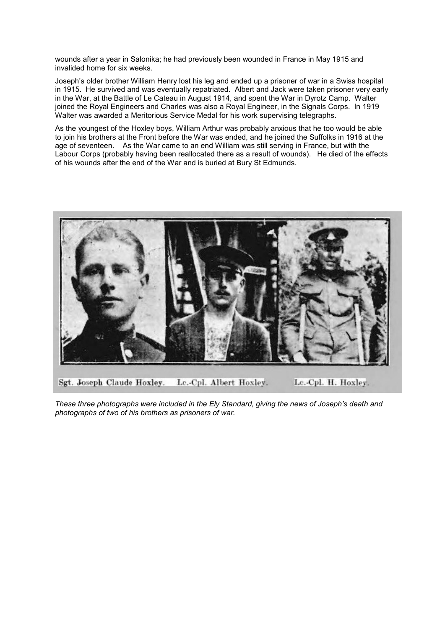wounds after a year in Salonika; he had previously been wounded in France in May 1915 and invalided home for six weeks.

Joseph's older brother William Henry lost his leg and ended up a prisoner of war in a Swiss hospital in 1915. He survived and was eventually repatriated. Albert and Jack were taken prisoner very early in the War, at the Battle of Le Cateau in August 1914, and spent the War in Dyrotz Camp. Walter joined the Royal Engineers and Charles was also a Royal Engineer, in the Signals Corps. In 1919 Walter was awarded a Meritorious Service Medal for his work supervising telegraphs.

As the youngest of the Hoxley boys, William Arthur was probably anxious that he too would be able to join his brothers at the Front before the War was ended, and he joined the Suffolks in 1916 at the age of seventeen. As the War came to an end William was still serving in France, but with the Labour Corps (probably having been reallocated there as a result of wounds). He died of the effects of his wounds after the end of the War and is buried at Bury St Edmunds.



Sgt. Joseph Claude Hoxley. Lc.-Cpl. Albert Hoxley. Le.-Cpl. H. Hoxley.

*These three photographs were included in the Ely Standard, giving the news of Joseph's death and photographs of two of his brothers as prisoners of war.*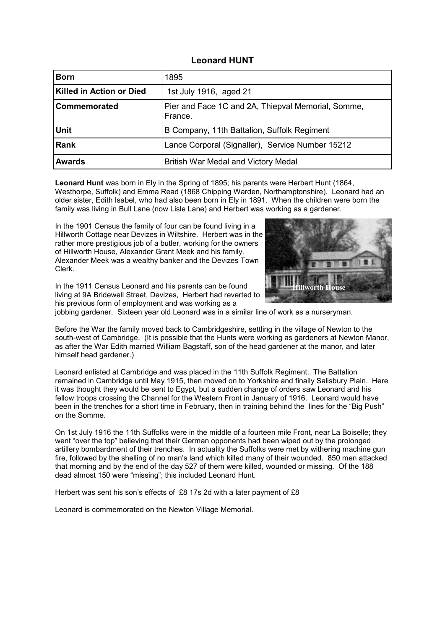#### **Leonard HUNT**

| <b>Born</b>                     | 1895                                                          |
|---------------------------------|---------------------------------------------------------------|
| <b>Killed in Action or Died</b> | 1st July 1916, aged 21                                        |
| Commemorated                    | Pier and Face 1C and 2A, Thiepval Memorial, Somme,<br>France. |
| <b>Unit</b>                     | B Company, 11th Battalion, Suffolk Regiment                   |
| <b>Rank</b>                     | Lance Corporal (Signaller), Service Number 15212              |
| <b>Awards</b>                   | British War Medal and Victory Medal                           |

**Leonard Hunt** was born in Ely in the Spring of 1895; his parents were Herbert Hunt (1864, Westhorpe, Suffolk) and Emma Read (1868 Chipping Warden, Northamptonshire). Leonard had an older sister, Edith Isabel, who had also been born in Ely in 1891. When the children were born the family was living in Bull Lane (now Lisle Lane) and Herbert was working as a gardener.

In the 1901 Census the family of four can be found living in a Hillworth Cottage near Devizes in Wiltshire. Herbert was in the rather more prestigious job of a butler, working for the owners of Hillworth House, Alexander Grant Meek and his family. Alexander Meek was a wealthy banker and the Devizes Town Clerk.

In the 1911 Census Leonard and his parents can be found living at 9A Bridewell Street, Devizes, Herbert had reverted to his previous form of employment and was working as a



jobbing gardener. Sixteen year old Leonard was in a similar line of work as a nurseryman.

Before the War the family moved back to Cambridgeshire, settling in the village of Newton to the south-west of Cambridge. (It is possible that the Hunts were working as gardeners at Newton Manor, as after the War Edith married William Bagstaff, son of the head gardener at the manor, and later himself head gardener.)

Leonard enlisted at Cambridge and was placed in the 11th Suffolk Regiment. The Battalion remained in Cambridge until May 1915, then moved on to Yorkshire and finally Salisbury Plain. Here it was thought they would be sent to Egypt, but a sudden change of orders saw Leonard and his fellow troops crossing the Channel for the Western Front in January of 1916. Leonard would have been in the trenches for a short time in February, then in training behind the lines for the "Big Push" on the Somme.

On 1st July 1916 the 11th Suffolks were in the middle of a fourteen mile Front, near La Boiselle; they went "over the top" believing that their German opponents had been wiped out by the prolonged artillery bombardment of their trenches. In actuality the Suffolks were met by withering machine gun fire, followed by the shelling of no man's land which killed many of their wounded. 850 men attacked that morning and by the end of the day 527 of them were killed, wounded or missing. Of the 188 dead almost 150 were "missing"; this included Leonard Hunt.

Herbert was sent his son's effects of £8 17s 2d with a later payment of £8

Leonard is commemorated on the Newton Village Memorial.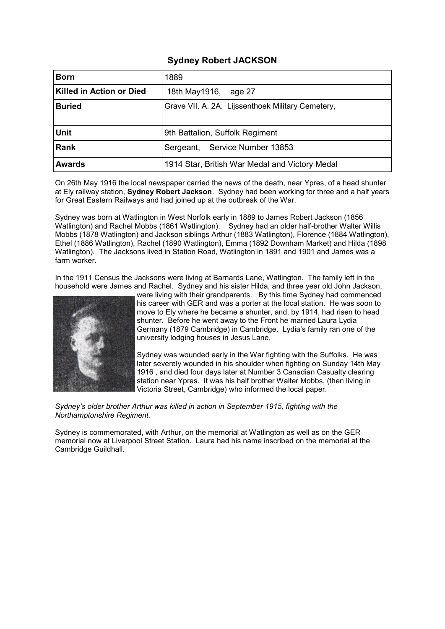## **Sydney Robert JACKSON**

| <b>Born</b>                     | 1889                                              |
|---------------------------------|---------------------------------------------------|
| <b>Killed in Action or Died</b> | 18th May 1916, age 27                             |
| <b>Buried</b>                   | Grave VII. A. 2A. Lijssenthoek Military Cemetery, |
| <b>Unit</b>                     | 9th Battalion, Suffolk Regiment                   |
| <b>Rank</b>                     | Sergeant, Service Number 13853                    |
| <b>Awards</b>                   | 1914 Star, British War Medal and Victory Medal    |

On 26th May 1916 the local newspaper carried the news of the death, near Ypres, of a head shunter at Ely railway station, **Sydney Robert Jackson**. Sydney had been working for three and a half years for Great Eastern Railways and had joined up at the outbreak of the War.

Sydney was born at Watlington in West Norfolk early in 1889 to James Robert Jackson (1856 Watlington) and Rachel Mobbs (1861 Watlington). Sydney had an older half-brother Walter Willis Mobbs (1878 Watlington) and Jackson siblings Arthur (1883 Watlington), Florence (1884 Watlington), Ethel (1886 Watlington), Rachel (1890 Watlington), Emma (1892 Downham Market) and Hilda (1898 Watlington). The Jacksons lived in Station Road, Watlington in 1891 and 1901 and James was a farm worker.

In the 1911 Census the Jacksons were living at Barnards Lane, Watlington. The family left in the household were James and Rachel. Sydney and his sister Hilda, and three year old John Jackson,



were living with their grandparents. By this time Sydney had commenced his career with GER and was a porter at the local station. He was soon to move to Ely where he became a shunter, and, by 1914, had risen to head shunter. Before he went away to the Front he married Laura Lydia Germany (1879 Cambridge) in Cambridge. Lydia's family ran one of the university lodging houses in Jesus Lane,

Sydney was wounded early in the War fighting with the Suffolks. He was later severely wounded in his shoulder when fighting on Sunday 14th May 1916 , and died four days later at Number 3 Canadian Casualty clearing station near Ypres. It was his half brother Walter Mobbs, (then living in Victoria Street, Cambridge) who informed the local paper.

*Sydney's older brother Arthur was killed in action in September 1915, fighting with the Northamptonshire Regiment.*

Sydney is commemorated, with Arthur, on the memorial at Watlington as well as on the GER memorial now at Liverpool Street Station. Laura had his name inscribed on the memorial at the Cambridge Guildhall.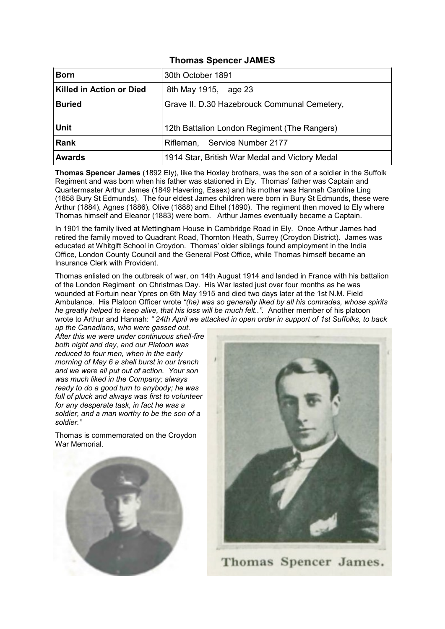# **Thomas Spencer JAMES**

| <b>Born</b>              | 30th October 1891                              |
|--------------------------|------------------------------------------------|
| Killed in Action or Died | 8th May 1915, age 23                           |
| <b>Buried</b>            | Grave II. D.30 Hazebrouck Communal Cemetery,   |
| <b>Unit</b>              | 12th Battalion London Regiment (The Rangers)   |
| <b>Rank</b>              | Rifleman, Service Number 2177                  |
| <b>Awards</b>            | 1914 Star, British War Medal and Victory Medal |

**Thomas Spencer James** (1892 Ely), like the Hoxley brothers, was the son of a soldier in the Suffolk Regiment and was born when his father was stationed in Ely. Thomas' father was Captain and Quartermaster Arthur James (1849 Havering, Essex) and his mother was Hannah Caroline Ling (1858 Bury St Edmunds). The four eldest James children were born in Bury St Edmunds, these were Arthur (1884), Agnes (1886), Olive (1888) and Ethel (1890). The regiment then moved to Ely where Thomas himself and Eleanor (1883) were born. Arthur James eventually became a Captain.

In 1901 the family lived at Mettingham House in Cambridge Road in Ely. Once Arthur James had retired the family moved to Quadrant Road, Thornton Heath, Surrey (Croydon District). James was educated at Whitgift School in Croydon. Thomas' older siblings found employment in the India Office, London County Council and the General Post Office, while Thomas himself became an Insurance Clerk with Provident.

Thomas enlisted on the outbreak of war, on 14th August 1914 and landed in France with his battalion of the London Regiment on Christmas Day. His War lasted just over four months as he was wounded at Fortuin near Ypres on 6th May 1915 and died two days later at the 1st N.M. Field Ambulance. His Platoon Officer wrote *"(he) was so generally liked by all his comrades, whose spirits he greatly helped to keep alive, that his loss will be much felt..".* Another member of his platoon wrote to Arthur and Hannah: *" 24th April we attacked in open order in support of 1st Suffolks, to back* 

*up the Canadians, who were gassed out. After this we were under continuous shell-fire both night and day, and our Platoon was reduced to four men, when in the early morning of May 6 a shell burst in our trench and we were all put out of action. Your son was much liked in the Company; always ready to do a good turn to anybody; he was full of pluck and always was first to volunteer for any desperate task, in fact he was a soldier, and a man worthy to be the son of a soldier."*

Thomas is commemorated on the Croydon War Memorial.





Thomas Spencer James.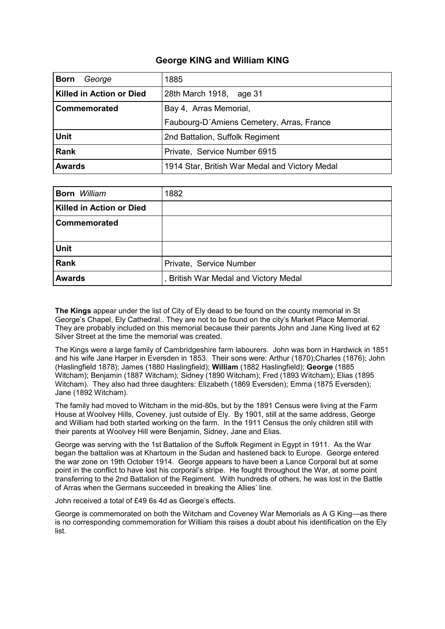## **George KING and William KING**

| <b>Born</b><br>George           | 1885                                           |
|---------------------------------|------------------------------------------------|
| <b>Killed in Action or Died</b> | 28th March 1918,<br>age 31                     |
| Commemorated                    | Bay 4, Arras Memorial,                         |
|                                 | Faubourg-D'Amiens Cemetery, Arras, France      |
| <b>Unit</b>                     | 2nd Battalion, Suffolk Regiment                |
| <b>Rank</b>                     | Private, Service Number 6915                   |
| <b>Awards</b>                   | 1914 Star, British War Medal and Victory Medal |

| <b>Born</b> William             | 1882                                |
|---------------------------------|-------------------------------------|
| <b>Killed in Action or Died</b> |                                     |
| Commemorated                    |                                     |
|                                 |                                     |
| <b>Unit</b>                     |                                     |
| Rank                            | Private, Service Number             |
| <b>Awards</b>                   | British War Medal and Victory Medal |

**The Kings** appear under the list of City of Ely dead to be found on the county memorial in St George's Chapel, Ely Cathedral.. They are not to be found on the city's Market Place Memorial. They are probably included on this memorial because their parents John and Jane King lived at 62 Silver Street at the time the memorial was created.

The Kings were a large family of Cambridgeshire farm labourers. John was born in Hardwick in 1851 and his wife Jane Harper in Eversden in 1853. Their sons were: Arthur (1870);Charles (1876); John (Haslingfield 1878); James (1880 Haslingfield); **William** (1882 Haslingfield); **George** (1885 Witcham); Benjamin (1887 Witcham); Sidney (1890 Witcham); Fred (1893 Witcham); Elias (1895 Witcham). They also had three daughters: Elizabeth (1869 Eversden); Emma (1875 Eversden); Jane (1892 Witcham).

The family had moved to Witcham in the mid-80s, but by the 1891 Census were living at the Farm House at Woolvey Hills, Coveney, just outside of Ely. By 1901, still at the same address, George and William had both started working on the farm. In the 1911 Census the only children still with their parents at Woolvey Hill were Benjamin, Sidney, Jane and Elias.

George was serving with the 1st Battalion of the Suffolk Regiment in Egypt in 1911. As the War began the battalion was at Khartoum in the Sudan and hastened back to Europe. George entered the war zone on 19th October 1914. George appears to have been a Lance Corporal but at some point in the conflict to have lost his corporal's stripe. He fought throughout the War, at some point transferring to the 2nd Battalion of the Regiment. With hundreds of others, he was lost in the Battle of Arras when the Germans succeeded in breaking the Allies' line.

John received a total of £49 6s 4d as George's effects.

George is commemorated on both the Witcham and Coveney War Memorials as A G King—as there is no corresponding commemoration for William this raises a doubt about his identification on the Ely list.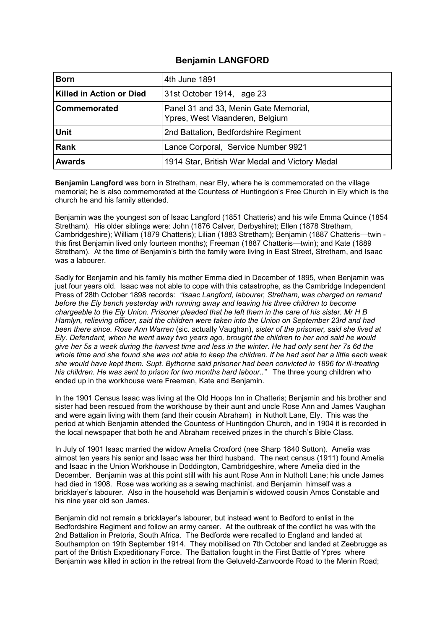## **Benjamin LANGFORD**

| <b>Born</b>                     | 4th June 1891                                                            |
|---------------------------------|--------------------------------------------------------------------------|
| <b>Killed in Action or Died</b> | 31st October 1914, age 23                                                |
| Commemorated                    | Panel 31 and 33, Menin Gate Memorial,<br>Ypres, West Vlaanderen, Belgium |
| <b>Unit</b>                     | 2nd Battalion, Bedfordshire Regiment                                     |
| Rank                            | Lance Corporal, Service Number 9921                                      |
| <b>Awards</b>                   | 1914 Star, British War Medal and Victory Medal                           |

**Benjamin Langford** was born in Stretham, near Ely, where he is commemorated on the village memorial; he is also commemorated at the Countess of Huntingdon's Free Church in Ely which is the church he and his family attended.

Benjamin was the youngest son of Isaac Langford (1851 Chatteris) and his wife Emma Quince (1854 Stretham). His older siblings were: John (1876 Calver, Derbyshire); Ellen (1878 Stretham, Cambridgeshire); William (1879 Chatteris); Lilian (1883 Stretham); Benjamin (1887 Chatteris—twin this first Benjamin lived only fourteen months); Freeman (1887 Chatteris—twin); and Kate (1889 Stretham). At the time of Benjamin's birth the family were living in East Street, Stretham, and Isaac was a labourer.

Sadly for Benjamin and his family his mother Emma died in December of 1895, when Benjamin was just four years old. Isaac was not able to cope with this catastrophe, as the Cambridge Independent Press of 28th October 1898 records: *"Isaac Langford, labourer, Stretham, was charged on remand before the Ely bench yesterday with running away and leaving his three children to become chargeable to the Ely Union. Prisoner pleaded that he left them in the care of his sister. Mr H B Hamlyn, relieving officer, said the children were taken into the Union on September 23rd and had been there since. Rose Ann Warren* (sic. actually Vaughan), *sister of the prisoner, said she lived at Ely. Defendant, when he went away two years ago, brought the children to her and said he would give her 5s a week during the harvest time and less in the winter. He had only sent her 7s 6d the whole time and she found she was not able to keep the children. If he had sent her a little each week she would have kept them. Supt. Bythorne said prisoner had been convicted in 1896 for ill-treating his children. He was sent to prison for two months hard labour.."* The three young children who ended up in the workhouse were Freeman, Kate and Benjamin.

In the 1901 Census Isaac was living at the Old Hoops Inn in Chatteris; Benjamin and his brother and sister had been rescued from the workhouse by their aunt and uncle Rose Ann and James Vaughan and were again living with them (and their cousin Abraham) in Nutholt Lane, Ely. This was the period at which Benjamin attended the Countess of Huntingdon Church, and in 1904 it is recorded in the local newspaper that both he and Abraham received prizes in the church's Bible Class.

In July of 1901 Isaac married the widow Amelia Croxford (nee Sharp 1840 Sutton). Amelia was almost ten years his senior and Isaac was her third husband. The next census (1911) found Amelia and Isaac in the Union Workhouse in Doddington, Cambridgeshire, where Amelia died in the December. Benjamin was at this point still with his aunt Rose Ann in Nutholt Lane; his uncle James had died in 1908. Rose was working as a sewing machinist. and Benjamin himself was a bricklayer's labourer. Also in the household was Benjamin's widowed cousin Amos Constable and his nine year old son James.

Benjamin did not remain a bricklayer's labourer, but instead went to Bedford to enlist in the Bedfordshire Regiment and follow an army career. At the outbreak of the conflict he was with the 2nd Battalion in Pretoria, South Africa. The Bedfords were recalled to England and landed at Southampton on 19th September 1914. They mobilised on 7th October and landed at Zeebrugge as part of the British Expeditionary Force. The Battalion fought in the First Battle of Ypres where Benjamin was killed in action in the retreat from the Geluveld-Zanvoorde Road to the Menin Road;